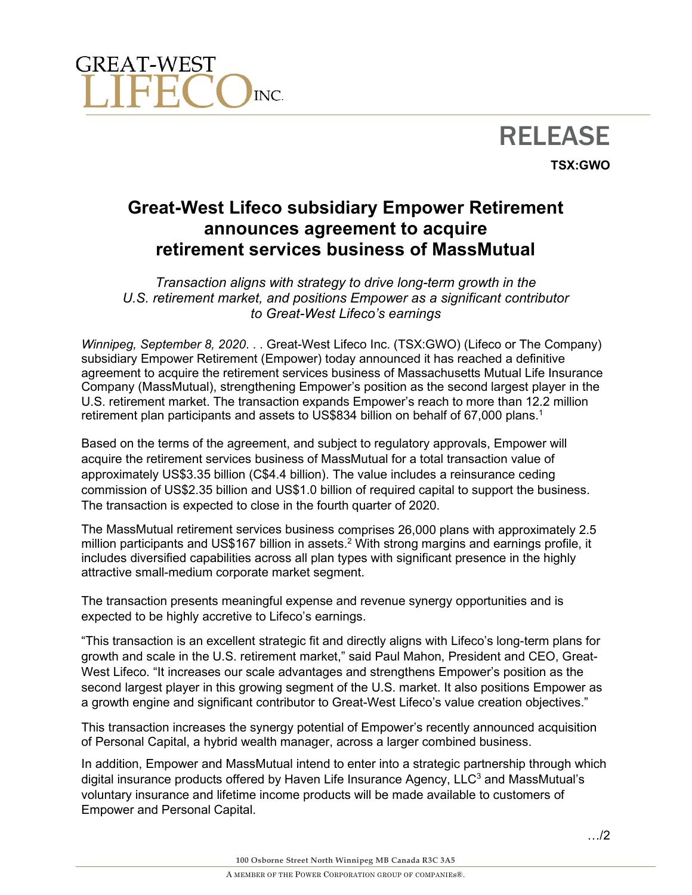

# RELEASE **TSX:GWO**

## **Great-West Lifeco subsidiary Empower Retirement announces agreement to acquire retirement services business of MassMutual**

*Transaction aligns with strategy to drive long-term growth in the U.S. retirement market, and positions Empower as a significant contributor to Great-West Lifeco's earnings*

*Winnipeg, September 8, 2020*. . . Great-West Lifeco Inc. (TSX:GWO) (Lifeco or The Company) subsidiary Empower Retirement (Empower) today announced it has reached a definitive agreement to acquire the retirement services business of Massachusetts Mutual Life Insurance Company (MassMutual), strengthening Empower's position as the second largest player in the U.S. retirement market. The transaction expands Empower's reach to more than 12.2 million retirement plan participants and assets to US\$834 billion on behalf of 67,000 plans.<sup>1</sup>

Based on the terms of the agreement, and subject to regulatory approvals, Empower will acquire the retirement services business of MassMutual for a total transaction value of approximately US\$3.35 billion (C\$4.4 billion). The value includes a reinsurance ceding commission of US\$2.35 billion and US\$1.0 billion of required capital to support the business. The transaction is expected to close in the fourth quarter of 2020.

The MassMutual retirement services business comprises 26,000 plans with approximately 2.5 million participants and US\$167 billion in assets.<sup>2</sup> With strong margins and earnings profile, it includes diversified capabilities across all plan types with significant presence in the highly attractive small-medium corporate market segment.

The transaction presents meaningful expense and revenue synergy opportunities and is expected to be highly accretive to Lifeco's earnings.

"This transaction is an excellent strategic fit and directly aligns with Lifeco's long-term plans for growth and scale in the U.S. retirement market," said Paul Mahon, President and CEO, Great-West Lifeco. "It increases our scale advantages and strengthens Empower's position as the second largest player in this growing segment of the U.S. market. It also positions Empower as a growth engine and significant contributor to Great-West Lifeco's value creation objectives."

This transaction increases the synergy potential of Empower's recently announced acquisition of Personal Capital, a hybrid wealth manager, across a larger combined business.

In addition, Empower and MassMutual intend to enter into a strategic partnership through which digital insurance products offered by Haven Life Insurance Agency,  $LLC<sup>3</sup>$  and MassMutual's voluntary insurance and lifetime income products will be made available to customers of Empower and Personal Capital.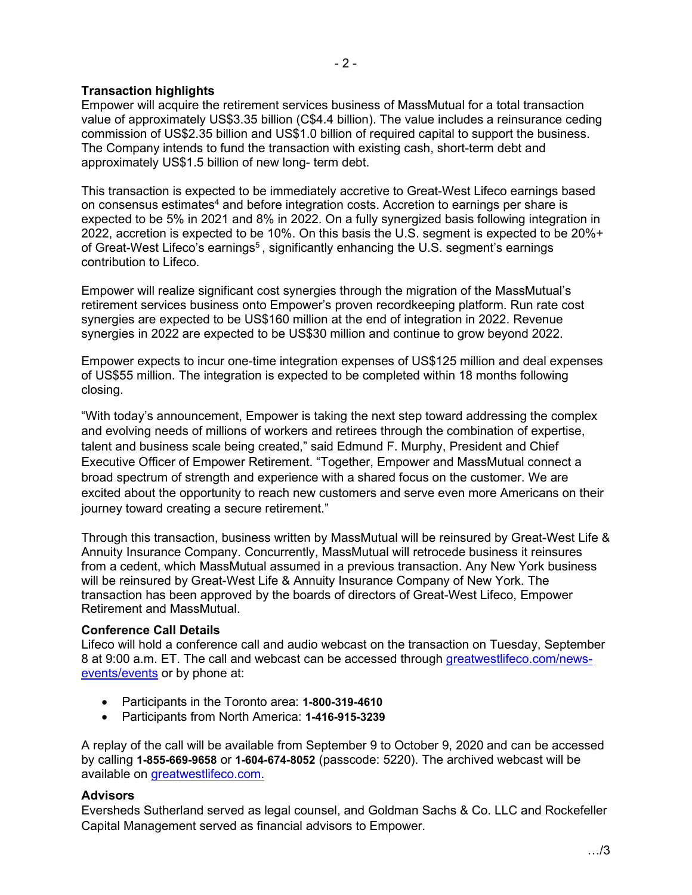### **Transaction highlights**

Empower will acquire the retirement services business of MassMutual for a total transaction value of approximately US\$3.35 billion (C\$4.4 billion). The value includes a reinsurance ceding commission of US\$2.35 billion and US\$1.0 billion of required capital to support the business. The Company intends to fund the transaction with existing cash, short-term debt and approximately US\$1.5 billion of new long- term debt.

This transaction is expected to be immediately accretive to Great-West Lifeco earnings based on consensus estimates<sup>4</sup> and before integration costs. Accretion to earnings per share is expected to be 5% in 2021 and 8% in 2022. On a fully synergized basis following integration in 2022, accretion is expected to be 10%. On this basis the U.S. segment is expected to be 20%+ of Great-West Lifeco's earnings<sup>5</sup>, significantly enhancing the U.S. segment's earnings contribution to Lifeco.

Empower will realize significant cost synergies through the migration of the MassMutual's retirement services business onto Empower's proven recordkeeping platform. Run rate cost synergies are expected to be US\$160 million at the end of integration in 2022. Revenue synergies in 2022 are expected to be US\$30 million and continue to grow beyond 2022.

Empower expects to incur one-time integration expenses of US\$125 million and deal expenses of US\$55 million. The integration is expected to be completed within 18 months following closing.

"With today's announcement, Empower is taking the next step toward addressing the complex and evolving needs of millions of workers and retirees through the combination of expertise, talent and business scale being created," said Edmund F. Murphy, President and Chief Executive Officer of Empower Retirement. "Together, Empower and MassMutual connect a broad spectrum of strength and experience with a shared focus on the customer. We are excited about the opportunity to reach new customers and serve even more Americans on their journey toward creating a secure retirement."

Through this transaction, business written by MassMutual will be reinsured by Great-West Life & Annuity Insurance Company. Concurrently, MassMutual will retrocede business it reinsures from a cedent, which MassMutual assumed in a previous transaction. Any New York business will be reinsured by Great-West Life & Annuity Insurance Company of New York. The transaction has been approved by the boards of directors of Great-West Lifeco, Empower Retirement and MassMutual.

#### **Conference Call Details**

Lifeco will hold a conference call and audio webcast on the transaction on Tuesday, September 8 at 9:00 a.m. ET. The call and webcast can be accessed through [greatwestlifeco.com/news](https://www.greatwestlifeco.com/news-events/events.html)[events/events](https://www.greatwestlifeco.com/news-events/events.html) or by phone at:

- Participants in the Toronto area: **1-800-319-4610**
- Participants from North America: **1-416-915-3239**

A replay of the call will be available from September 9 to October 9, 2020 and can be accessed by calling **1-855-669-9658** or **1-604-674-8052** (passcode: 5220). The archived webcast will be available on [greatwestlifeco.com.](http://www.greatwestlifeco.com/)

#### **Advisors**

Eversheds Sutherland served as legal counsel, and Goldman Sachs & Co. LLC and Rockefeller Capital Management served as financial advisors to Empower.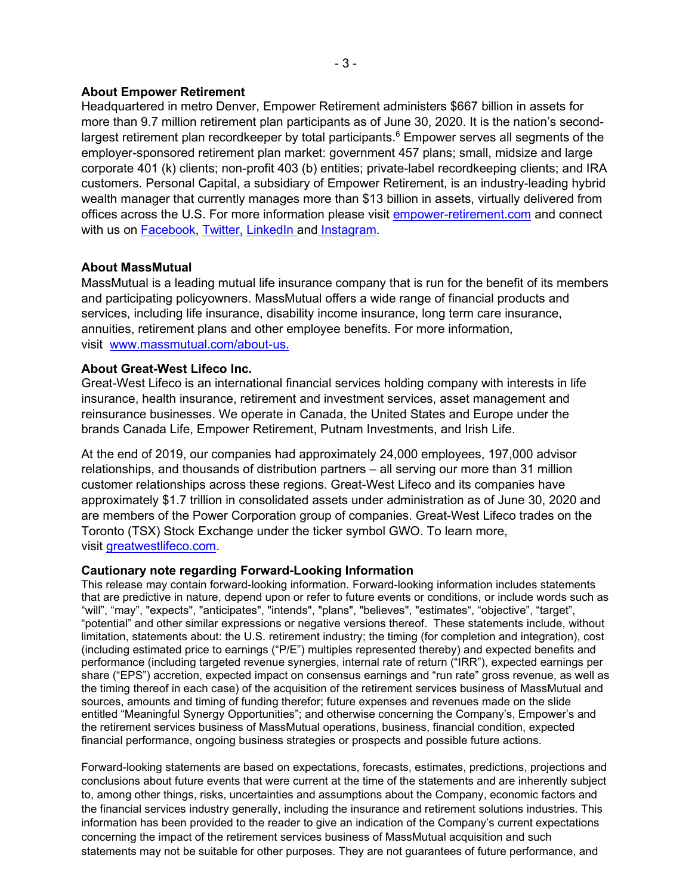#### **About Empower Retirement**

Headquartered in metro Denver, Empower Retirement administers \$667 billion in assets for more than 9.7 million retirement plan participants as of June 30, 2020. It is the nation's secondlargest retirement plan recordkeeper by total participants.<sup>6</sup> Empower serves all segments of the employer-sponsored retirement plan market: government 457 plans; small, midsize and large corporate 401 (k) clients; non-profit 403 (b) entities; private-label recordkeeping clients; and IRA customers. Personal Capital, a subsidiary of Empower Retirement, is an industry-leading hybrid wealth manager that currently manages more than \$13 billion in assets, virtually delivered from offices across the U.S. For more information please visit [empower-retirement.com](http://empower-retirement.com/) and connect with us on [Facebook,](https://www.facebook.com/empowerretirement) [Twitter,](https://www.twitter.com/empowertoday) [LinkedIn](https://www.linkedin.com/company/empower-retirement) and [Instagram.](https://www.instagram.com/empowerretirement/)

#### **About MassMutual**

MassMutual is a leading mutual life insurance company that is run for the benefit of its members and participating policyowners. MassMutual offers a wide range of financial products and services, including life insurance, disability income insurance, long term care insurance, annuities, retirement plans and other employee benefits. For more information, visit www.massmutual.com/about-us.

#### **About Great-West Lifeco Inc.**

Great-West Lifeco is an international financial services holding company with interests in life insurance, health insurance, retirement and investment services, asset management and reinsurance businesses. We operate in Canada, the United States and Europe under the brands Canada Life, Empower Retirement, Putnam Investments, and Irish Life.

At the end of 2019, our companies had approximately 24,000 employees, 197,000 advisor relationships, and thousands of distribution partners – all serving our more than 31 million customer relationships across these regions. Great-West Lifeco and its companies have approximately \$1.7 trillion in consolidated assets under administration as of June 30, 2020 and are members of the Power Corporation group of companies. Great-West Lifeco trades on the Toronto (TSX) Stock Exchange under the ticker symbol GWO. To learn more, visit [greatwestlifeco.com.](http://www.greatwestlifeco.com/)

#### **Cautionary note regarding Forward-Looking Information**

This release may contain forward-looking information. Forward-looking information includes statements that are predictive in nature, depend upon or refer to future events or conditions, or include words such as "will", "may", "expects", "anticipates", "intends", "plans", "believes", "estimates", "objective", "target", "potential" and other similar expressions or negative versions thereof. These statements include, without limitation, statements about: the U.S. retirement industry; the timing (for completion and integration), cost (including estimated price to earnings ("P/E") multiples represented thereby) and expected benefits and performance (including targeted revenue synergies, internal rate of return ("IRR"), expected earnings per share ("EPS") accretion, expected impact on consensus earnings and "run rate" gross revenue, as well as the timing thereof in each case) of the acquisition of the retirement services business of MassMutual and sources, amounts and timing of funding therefor; future expenses and revenues made on the slide entitled "Meaningful Synergy Opportunities"; and otherwise concerning the Company's, Empower's and the retirement services business of MassMutual operations, business, financial condition, expected financial performance, ongoing business strategies or prospects and possible future actions.

Forward-looking statements are based on expectations, forecasts, estimates, predictions, projections and conclusions about future events that were current at the time of the statements and are inherently subject to, among other things, risks, uncertainties and assumptions about the Company, economic factors and the financial services industry generally, including the insurance and retirement solutions industries. This information has been provided to the reader to give an indication of the Company's current expectations concerning the impact of the retirement services business of MassMutual acquisition and such statements may not be suitable for other purposes. They are not guarantees of future performance, and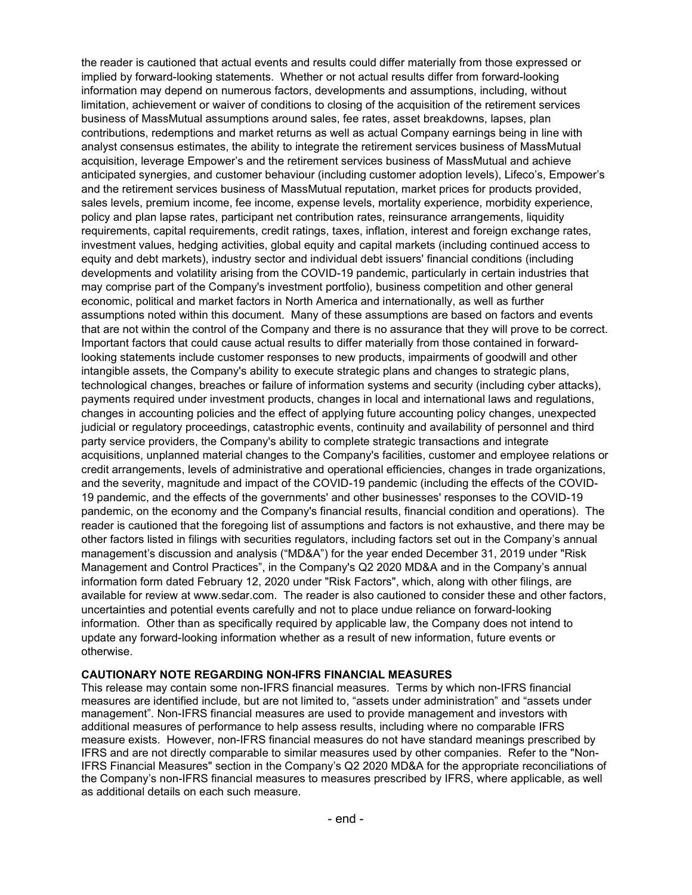the reader is cautioned that actual events and results could differ materially from those expressed or implied by forward-looking statements. Whether or not actual results differ from forward-looking information may depend on numerous factors, developments and assumptions, including, without limitation, achievement or waiver of conditions to closing of the acquisition of the retirement services business of MassMutual assumptions around sales, fee rates, asset breakdowns, lapses, plan contributions, redemptions and market returns as well as actual Company earnings being in line with analyst consensus estimates, the ability to integrate the retirement services business of MassMutual acquisition, leverage Empower's and the retirement services business of MassMutual and achieve anticipated synergies, and customer behaviour (including customer adoption levels), Lifeco's, Empower's and the retirement services business of MassMutual reputation, market prices for products provided, sales levels, premium income, fee income, expense levels, mortality experience, morbidity experience, policy and plan lapse rates, participant net contribution rates, reinsurance arrangements, liquidity requirements, capital requirements, credit ratings, taxes, inflation, interest and foreign exchange rates, investment values, hedging activities, global equity and capital markets (including continued access to equity and debt markets), industry sector and individual debt issuers' financial conditions (including developments and volatility arising from the COVID-19 pandemic, particularly in certain industries that may comprise part of the Company's investment portfolio), business competition and other general economic, political and market factors in North America and internationally, as well as further assumptions noted within this document. Many of these assumptions are based on factors and events that are not within the control of the Company and there is no assurance that they will prove to be correct. Important factors that could cause actual results to differ materially from those contained in forwardlooking statements include customer responses to new products, impairments of goodwill and other intangible assets, the Company's ability to execute strategic plans and changes to strategic plans, technological changes, breaches or failure of information systems and security (including cyber attacks), payments required under investment products, changes in local and international laws and regulations, changes in accounting policies and the effect of applying future accounting policy changes, unexpected judicial or regulatory proceedings, catastrophic events, continuity and availability of personnel and third party service providers, the Company's ability to complete strategic transactions and integrate acquisitions, unplanned material changes to the Company's facilities, customer and employee relations or credit arrangements, levels of administrative and operational efficiencies, changes in trade organizations, and the severity, magnitude and impact of the COVID-19 pandemic (including the effects of the COVID-19 pandemic, and the effects of the governments' and other businesses' responses to the COVID-19 pandemic, on the economy and the Company's financial results, financial condition and operations). The reader is cautioned that the foregoing list of assumptions and factors is not exhaustive, and there may be other factors listed in filings with securities regulators, including factors set out in the Company's annual management's discussion and analysis ("MD&A") for the year ended December 31, 2019 under "Risk Management and Control Practices", in the Company's Q2 2020 MD&A and in the Company's annual information form dated February 12, 2020 under "Risk Factors", which, along with other filings, are available for review at www.sedar.com. The reader is also cautioned to consider these and other factors, uncertainties and potential events carefully and not to place undue reliance on forward-looking information. Other than as specifically required by applicable law, the Company does not intend to update any forward-looking information whether as a result of new information, future events or otherwise.

#### **CAUTIONARY NOTE REGARDING NON-IFRS FINANCIAL MEASURES**

This release may contain some non-IFRS financial measures. Terms by which non-IFRS financial measures are identified include, but are not limited to, "assets under administration" and "assets under management". Non-IFRS financial measures are used to provide management and investors with additional measures of performance to help assess results, including where no comparable IFRS measure exists. However, non-IFRS financial measures do not have standard meanings prescribed by IFRS and are not directly comparable to similar measures used by other companies. Refer to the "Non-IFRS Financial Measures" section in the Company's Q2 2020 MD&A for the appropriate reconciliations of the Company's non-IFRS financial measures to measures prescribed by IFRS, where applicable, as well as additional details on each such measure.